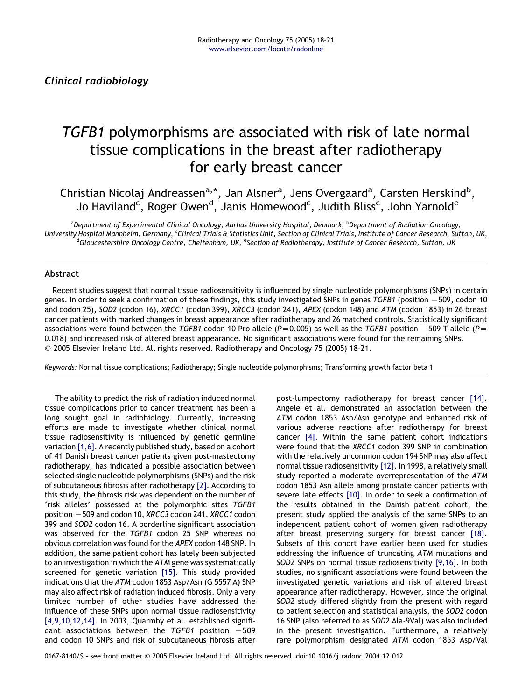# TGFB1 polymorphisms are associated with risk of late normal tissue complications in the breast after radiotherapy for early breast cancer

Christian Nicolaj Andreassen<sup>a,\*</sup>, Jan Alsner<sup>a</sup>, Jens Overgaard<sup>a</sup>, Carsten Herskind<sup>b</sup>, Jo Haviland<sup>c</sup>, Roger Owen<sup>d</sup>, Janis Homewood<sup>c</sup>, Judith Bliss<sup>c</sup>, John Yarnold<sup>e</sup>

<sup>a</sup>Department of Experimental Clinical Oncology, Aarhus University Hospital, Denmark, <sup>b</sup>Department of Radiation Oncology, University Hospital Mannheim, Germany, <sup>c</sup>Clinical Trials & Statistics Unit, Section of Clinical Trials, Institute of Cancer Research, Sutton, UK,<br><sup>d</sup>Gloucestershire Opcology Centre, Cheltepham, UK, <sup>e</sup>Section of Padiother Gloucestershire Oncology Centre, Cheltenham, UK, <sup>e</sup>Section of Radiotherapy, Institute of Cancer Research, Sutton, UK

## Abstract

Recent studies suggest that normal tissue radiosensitivity is influenced by single nucleotide polymorphisms (SNPs) in certain genes. In order to seek a confirmation of these findings, this study investigated SNPs in genes TGFB1 (position -509, codon 10 and codon 25), SOD2 (codon 16), XRCC1 (codon 399), XRCC3 (codon 241), APEX (codon 148) and ATM (codon 1853) in 26 breast cancer patients with marked changes in breast appearance after radiotherapy and 26 matched controls. Statistically significant associations were found between the TGFB1 codon 10 Pro allele ( $P=0.005$ ) as well as the TGFB1 position  $-509$  T allele ( $P=$ 0.018) and increased risk of altered breast appearance. No significant associations were found for the remaining SNPs.  $©$  2005 Elsevier Ireland Ltd. All rights reserved. Radiotherapy and Oncology 75 (2005) 18-21.

Keywords: Normal tissue complications; Radiotherapy; Single nucleotide polymorphisms; Transforming growth factor beta 1

The ability to predict the risk of radiation induced normal tissue complications prior to cancer treatment has been a long sought goal in radiobiology. Currently, increasing efforts are made to investigate whether clinical normal tissue radiosensitivity is influenced by genetic germline variation [\[1,6\]](#page-3-0). A recently published study, based on a cohort of 41 Danish breast cancer patients given post-mastectomy radiotherapy, has indicated a possible association between selected single nucleotide polymorphisms (SNPs) and the risk of subcutaneous fibrosis after radiotherapy [\[2\]](#page-3-0). According to this study, the fibrosis risk was dependent on the number of 'risk alleles' possessed at the polymorphic sites TGFB1 position  $-509$  and codon 10, XRCC3 codon 241, XRCC1 codon 399 and SOD2 codon 16. A borderline significant association was observed for the TGFB1 codon 25 SNP whereas no obvious correlation was found for the APEX codon 148 SNP. In addition, the same patient cohort has lately been subjected to an investigation in which the ATM gene was systematically screened for genetic variation [\[15\]](#page-3-0). This study provided indications that the ATM codon 1853 Asp/Asn (G 5557 A) SNP may also affect risk of radiation induced fibrosis. Only a very limited number of other studies have addressed the influence of these SNPs upon normal tissue radiosensitivity [\[4,9,10,12,14\].](#page-3-0) In 2003, Quarmby et al. established significant associations between the  $TGFB1$  position  $-509$ and codon 10 SNPs and risk of subcutaneous fibrosis after post-lumpectomy radiotherapy for breast cancer [\[14\]](#page-3-0). Angele et al. demonstrated an association between the ATM codon 1853 Asn/Asn genotype and enhanced risk of various adverse reactions after radiotherapy for breast cancer [\[4\]](#page-3-0). Within the same patient cohort indications were found that the XRCC1 codon 399 SNP in combination with the relatively uncommon codon 194 SNP may also affect normal tissue radiosensitivity [\[12\]](#page-3-0). In 1998, a relatively small study reported a moderate overrepresentation of the ATM codon 1853 Asn allele among prostate cancer patients with severe late effects [\[10\]](#page-3-0). In order to seek a confirmation of the results obtained in the Danish patient cohort, the present study applied the analysis of the same SNPs to an independent patient cohort of women given radiotherapy after breast preserving surgery for breast cancer [\[18\]](#page-3-0). Subsets of this cohort have earlier been used for studies addressing the influence of truncating ATM mutations and SOD2 SNPs on normal tissue radiosensitivity [\[9,16\]](#page-3-0). In both studies, no significant associations were found between the investigated genetic variations and risk of altered breast appearance after radiotherapy. However, since the original SOD2 study differed slightly from the present with regard to patient selection and statistical analysis, the SOD2 codon 16 SNP (also referred to as SOD2 Ala-9Val) was also included in the present investigation. Furthermore, a relatively rare polymorphism designated ATM codon 1853 Asp/Val

0167-8140/\$ - see front matter q 2005 Elsevier Ireland Ltd. All rights reserved. doi:10.1016/j.radonc.2004.12.012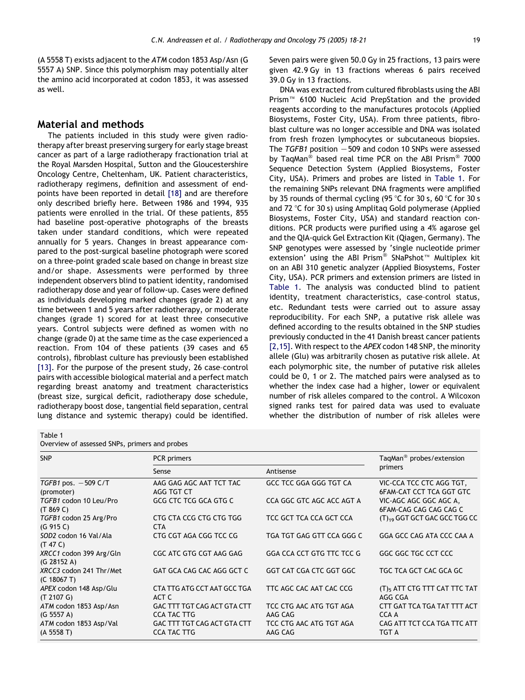(A 5558 T) exists adjacent to the ATM codon 1853 Asp/Asn (G 5557 A) SNP. Since this polymorphism may potentially alter the amino acid incorporated at codon 1853, it was assessed as well.

## Material and methods

The patients included in this study were given radiotherapy after breast preserving surgery for early stage breast cancer as part of a large radiotherapy fractionation trial at the Royal Marsden Hospital, Sutton and the Gloucestershire Oncology Centre, Cheltenham, UK. Patient characteristics, radiotherapy regimens, definition and assessment of endpoints have been reported in detail [\[18\]](#page-3-0) and are therefore only described briefly here. Between 1986 and 1994, 935 patients were enrolled in the trial. Of these patients, 855 had baseline post-operative photographs of the breasts taken under standard conditions, which were repeated annually for 5 years. Changes in breast appearance compared to the post-surgical baseline photograph were scored on a three-point graded scale based on change in breast size and/or shape. Assessments were performed by three independent observers blind to patient identity, randomised radiotherapy dose and year of follow-up. Cases were defined as individuals developing marked changes (grade 2) at any time between 1 and 5 years after radiotherapy, or moderate changes (grade 1) scored for at least three consecutive years. Control subjects were defined as women with no change (grade 0) at the same time as the case experienced a reaction. From 104 of these patients (39 cases and 65 controls), fibroblast culture has previously been established [\[13\]](#page-3-0). For the purpose of the present study, 26 case-control pairs with accessible biological material and a perfect match regarding breast anatomy and treatment characteristics (breast size, surgical deficit, radiotherapy dose schedule, radiotherapy boost dose, tangential field separation, central lung distance and systemic therapy) could be identified.

Seven pairs were given 50.0 Gy in 25 fractions, 13 pairs were given 42.9 Gy in 13 fractions whereas 6 pairs received 39.0 Gy in 13 fractions.

DNA was extracted from cultured fibroblasts using the ABI Prism<sup>™</sup> 6100 Nucleic Acid PrepStation and the provided reagents according to the manufactures protocols (Applied Biosystems, Foster City, USA). From three patients, fibroblast culture was no longer accessible and DNA was isolated from fresh frozen lymphocytes or subcutaneous biopsies. The TGFB1 position  $-509$  and codon 10 SNPs were assessed by TaqMan<sup>®</sup> based real time PCR on the ABI Prism<sup>®</sup> 7000 Sequence Detection System (Applied Biosystems, Foster City, USA). Primers and probes are listed in Table 1. For the remaining SNPs relevant DNA fragments were amplified by 35 rounds of thermal cycling (95 °C for 30 s, 60 °C for 30 s and 72 °C for 30 s) using Amplitaq Gold polymerase (Applied Biosystems, Foster City, USA) and standard reaction conditions. PCR products were purified using a 4% agarose gel and the QIA-quick Gel Extraction Kit (Qiagen, Germany). The SNP genotypes were assessed by 'single nucleotide primer extension' using the ABI Prism<sup>®</sup> SNaPshot<sup>™</sup> Multiplex kit on an ABI 310 genetic analyzer (Applied Biosystems, Foster City, USA). PCR primers and extension primers are listed in Table 1. The analysis was conducted blind to patient identity, treatment characteristics, case–control status, etc. Redundant tests were carried out to assure assay reproducibility. For each SNP, a putative risk allele was defined according to the results obtained in the SNP studies previously conducted in the 41 Danish breast cancer patients [\[2,15\]](#page-3-0). With respect to the APEX codon 148 SNP, the minority allele (Glu) was arbitrarily chosen as putative risk allele. At each polymorphic site, the number of putative risk alleles could be 0, 1 or 2. The matched pairs were analysed as to whether the index case had a higher, lower or equivalent number of risk alleles compared to the control. A Wilcoxon signed ranks test for paired data was used to evaluate whether the distribution of number of risk alleles were

#### Table 1

Overview of assessed SNPs, primers and probes

| <b>SNP</b>                                    | PCR primers                                       | TagMan <sup>®</sup> probes/extension |                                                             |
|-----------------------------------------------|---------------------------------------------------|--------------------------------------|-------------------------------------------------------------|
|                                               | Sense                                             | Antisense                            | primers                                                     |
| TGFB1 pos. $-509$ C/T<br>(promoter)           | AAG GAG AGC AAT TCT TAC<br>AGG TGT CT             | GCC TCC GGA GGG TGT CA               | VIC-CCA TCC CTC AGG TGT,<br><b>6FAM-CAT CCT TCA GGT GTC</b> |
| TGFB1 codon 10 Leu/Pro<br>(T 869 C)           | GCG CTC TCG GCA GTG C                             | CCA GGC GTC AGC ACC AGT A            | VIC-AGC AGC GGC AGC A,<br><b>6FAM-CAG CAG CAG CAG C</b>     |
| TGFB1 codon 25 Arg/Pro<br>(G 915 C)           | CTG CTA CCG CTG CTG TGG<br><b>CTA</b>             | TCC GCT TCA CCA GCT CCA              | (T) <sub>19</sub> GGT GCT GAC GCC TGG CC                    |
| SOD <sub>2</sub> codon 16 Val/Ala<br>(T 47 C) | CTG CGT AGA CGG TCC CG                            | TGA TGT GAG GTT CCA GGG C            | GGA GCC CAG ATA CCC CAA A                                   |
| XRCC1 codon 399 Arg/Gln<br>(G 28152 A)        | CGC ATC GTG CGT AAG GAG                           | GGA CCA CCT GTG TTC TCC G            | GGC GGC TGC CCT CCC                                         |
| XRCC3 codon 241 Thr/Met<br>(C 18067 T)        | GAT GCA CAG CAC AGG GCT C                         | GGT CAT CGA CTC GGT GGC              | TGC TCA GCT CAC GCA GC                                      |
| APEX codon 148 Asp/Glu<br>(T 2107 G)          | CTA TTG ATG CCT AAT GCC TGA<br>ACT C              | TTC AGC CAC AAT CAC CCG              | (T) <sub>5</sub> ATT CTG TTT CAT TTC TAT<br>AGG CGA         |
| ATM codon 1853 Asp/Asn<br>(G 5557 A)          | GAC TTT TGT CAG ACT GTA CTT<br><b>CCA TAC TTG</b> | TCC CTG AAC ATG TGT AGA<br>AAG CAG   | CTT GAT TCA TGA TAT TTT ACT<br>CCA A                        |
| ATM codon 1853 Asp/Val<br>(A 5558 T)          | GAC TTT TGT CAG ACT GTA CTT<br><b>CCA TAC TTG</b> | TCC CTG AAC ATG TGT AGA<br>AAG CAG   | CAG ATT TCT CCA TGA TTC ATT<br><b>TGT A</b>                 |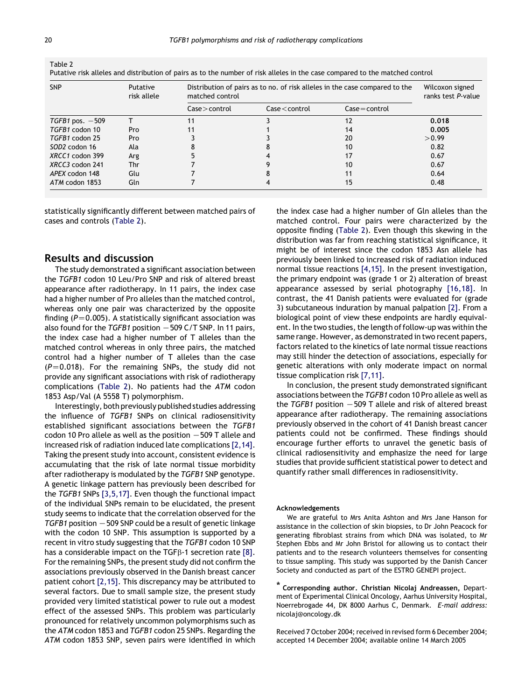Table 2

| <b>SNP</b>                | Putative<br>risk allele | Distribution of pairs as to no. of risk alleles in the case compared to the<br>matched control |                                    |                  | Wilcoxon signed<br>ranks test P-value |
|---------------------------|-------------------------|------------------------------------------------------------------------------------------------|------------------------------------|------------------|---------------------------------------|
|                           |                         | $\textsf{Case}$ > control                                                                      | $\textsf{Case} \textsf{<}$ control | $Case = control$ |                                       |
| $TGFB1$ pos. $-509$       |                         |                                                                                                |                                    | 12               | 0.018                                 |
| TGFB1 codon 10            | Pro                     |                                                                                                |                                    | 14               | 0.005                                 |
| TGFB1 codon 25            | Pro                     |                                                                                                |                                    | 20               | > 0.99                                |
| SOD <sub>2</sub> codon 16 | Ala                     |                                                                                                |                                    | 10               | 0.82                                  |
| XRCC1 codon 399           | Arg                     |                                                                                                |                                    |                  | 0.67                                  |
| XRCC3 codon 241           | Thr                     |                                                                                                |                                    | 10               | 0.67                                  |
| APEX codon 148            | Glu                     |                                                                                                |                                    |                  | 0.64                                  |
| ATM codon 1853            | Gln                     |                                                                                                |                                    | 15               | 0.48                                  |

Putative risk alleles and distribution of pairs as to the number of risk alleles in the case compared to the matched control

statistically significantly different between matched pairs of cases and controls (Table 2).

## Results and discussion

The study demonstrated a significant association between the TGFB1 codon 10 Leu/Pro SNP and risk of altered breast appearance after radiotherapy. In 11 pairs, the index case had a higher number of Pro alleles than the matched control, whereas only one pair was characterized by the opposite finding ( $P=0.005$ ). A statistically significant association was also found for the TGFB1 position  $-509$  C/T SNP. In 11 pairs, the index case had a higher number of T alleles than the matched control whereas in only three pairs, the matched control had a higher number of T alleles than the case  $(P=0.018)$ . For the remaining SNPs, the study did not provide any significant associations with risk of radiotherapy complications (Table 2). No patients had the ATM codon 1853 Asp/Val (A 5558 T) polymorphism.

Interestingly, both previously publishedstudies addressing the influence of TGFB1 SNPs on clinical radiosensitivity established significant associations between the TGFB1 codon 10 Pro allele as well as the position  $-509$  T allele and increased risk of radiation induced late complications [\[2,14\]](#page-3-0). Taking the present study into account, consistent evidence is accumulating that the risk of late normal tissue morbidity after radiotherapy is modulated by the TGFB1 SNP genotype. A genetic linkage pattern has previously been described for the TGFB1 SNPs [\[3,5,17\]](#page-3-0). Even though the functional impact of the individual SNPs remain to be elucidated, the present study seems to indicate that the correlation observed for the  $TGFB1$  position  $-509$  SNP could be a result of genetic linkage with the codon 10 SNP. This assumption is supported by a recent in vitro study suggesting that the TGFB1 codon 10 SNP has a considerable impact on the  $TGF\beta-1$  secretion rate [\[8\]](#page-3-0). For the remaining SNPs, the present study did not confirm the associations previously observed in the Danish breast cancer patient cohort [\[2,15\].](#page-3-0) This discrepancy may be attributed to several factors. Due to small sample size, the present study provided very limited statistical power to rule out a modest effect of the assessed SNPs. This problem was particularly pronounced for relatively uncommon polymorphisms such as the ATM codon 1853 and TGFB1 codon 25 SNPs. Regarding the ATM codon 1853 SNP, seven pairs were identified in which the index case had a higher number of Gln alleles than the matched control. Four pairs were characterized by the opposite finding (Table 2). Even though this skewing in the distribution was far from reaching statistical significance, it might be of interest since the codon 1853 Asn allele has previously been linked to increased risk of radiation induced normal tissue reactions [\[4,15\]](#page-3-0). In the present investigation, the primary endpoint was (grade 1 or 2) alteration of breast appearance assessed by serial photography [\[16,18\]](#page-3-0). In contrast, the 41 Danish patients were evaluated for (grade 3) subcutaneous induration by manual palpation [\[2\]](#page-3-0). From a biological point of view these endpoints are hardly equivalent. In the two studies, the length of follow-up was within the same range. However, as demonstrated in two recent papers, factors related to the kinetics of late normal tissue reactions may still hinder the detection of associations, especially for genetic alterations with only moderate impact on normal tissue complication risk [\[7,11\]](#page-3-0).

In conclusion, the present study demonstrated significant associations between the TGFB1 codon 10 Pro allele as well as the TGFB1 position  $-509$  T allele and risk of altered breast appearance after radiotherapy. The remaining associations previously observed in the cohort of 41 Danish breast cancer patients could not be confirmed. These findings should encourage further efforts to unravel the genetic basis of clinical radiosensitivity and emphasize the need for large studies that provide sufficient statistical power to detect and quantify rather small differences in radiosensitivity.

#### Acknowledgements

We are grateful to Mrs Anita Ashton and Mrs Jane Hanson for assistance in the collection of skin biopsies, to Dr John Peacock for generating fibroblast strains from which DNA was isolated, to Mr Stephen Ebbs and Mr John Bristol for allowing us to contact their patients and to the research volunteers themselves for consenting to tissue sampling. This study was supported by the Danish Cancer Society and conducted as part of the ESTRO GENEPI project.

Corresponding author. Christian Nicolaj Andreassen, Department of Experimental Clinical Oncology, Aarhus University Hospital, Noerrebrogade 44, DK 8000 Aarhus C, Denmark. E-mail address: nicolaj@oncology.dk

Received 7 October 2004; received in revised form 6 December 2004; accepted 14 December 2004; available online 14 March 2005